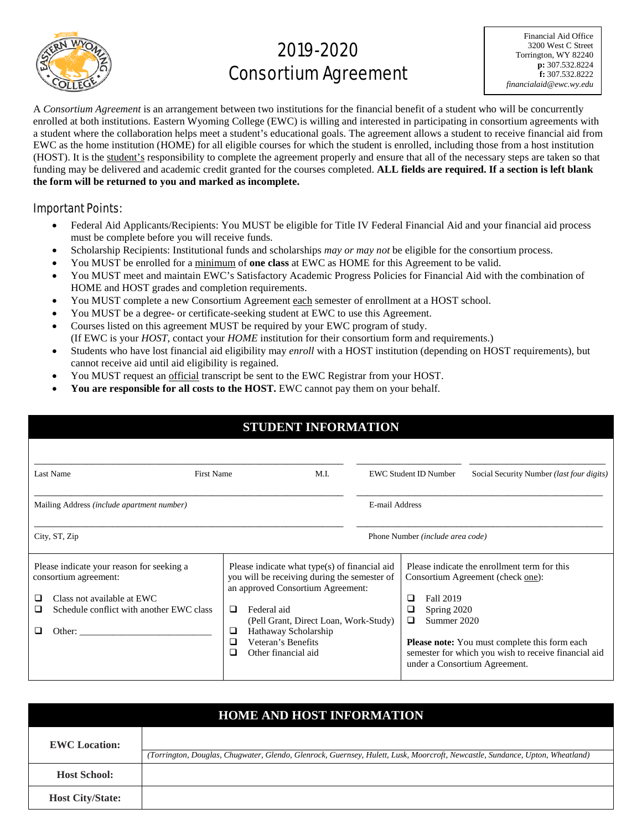

# 2019-2020 Consortium Agreement

Financial Aid Office 3200 West C Street Torrington, WY 82240 **p:** 307.532.8224 **f:** 307.532.8222 *financialaid@ewc.wy.edu*

A *Consortium Agreement* is an arrangement between two institutions for the financial benefit of a student who will be concurrently enrolled at both institutions. Eastern Wyoming College (EWC) is willing and interested in participating in consortium agreements with a student where the collaboration helps meet a student's educational goals. The agreement allows a student to receive financial aid from EWC as the home institution (HOME) for all eligible courses for which the student is enrolled, including those from a host institution (HOST). It is the student's responsibility to complete the agreement properly and ensure that all of the necessary steps are taken so that funding may be delivered and academic credit granted for the courses completed. **ALL fields are required. If a section is left blank the form will be returned to you and marked as incomplete.** 

### Important Points:

- Federal Aid Applicants/Recipients: You MUST be eligible for Title IV Federal Financial Aid and your financial aid process must be complete before you will receive funds.
- Scholarship Recipients: Institutional funds and scholarships *may or may not* be eligible for the consortium process.
- You MUST be enrolled for a minimum of **one class** at EWC as HOME for this Agreement to be valid.
- You MUST meet and maintain EWC's Satisfactory Academic Progress Policies for Financial Aid with the combination of HOME and HOST grades and completion requirements.
- You MUST complete a new Consortium Agreement each semester of enrollment at a HOST school.
- You MUST be a degree- or certificate-seeking student at EWC to use this Agreement.
- Courses listed on this agreement MUST be required by your EWC program of study. (If EWC is your *HOST*, contact your *HOME* institution for their consortium form and requirements.)
- Students who have lost financial aid eligibility may *enroll* with a HOST institution (depending on HOST requirements), but cannot receive aid until aid eligibility is regained.
- You MUST request an official transcript be sent to the EWC Registrar from your HOST.
- **You are responsible for all costs to the HOST.** EWC cannot pay them on your behalf.

| <b>STUDENT INFORMATION</b>                                                                                                                                              |               |                  |                                                                                                                                                                                                                                                                 |                |                              |                                                                                                                                                                                                                                                                                                     |                                           |
|-------------------------------------------------------------------------------------------------------------------------------------------------------------------------|---------------|------------------|-----------------------------------------------------------------------------------------------------------------------------------------------------------------------------------------------------------------------------------------------------------------|----------------|------------------------------|-----------------------------------------------------------------------------------------------------------------------------------------------------------------------------------------------------------------------------------------------------------------------------------------------------|-------------------------------------------|
| Last Name<br><b>First Name</b>                                                                                                                                          |               |                  | M.I.                                                                                                                                                                                                                                                            |                | <b>EWC Student ID Number</b> |                                                                                                                                                                                                                                                                                                     | Social Security Number (last four digits) |
| Mailing Address (include apartment number)                                                                                                                              |               |                  |                                                                                                                                                                                                                                                                 | E-mail Address |                              |                                                                                                                                                                                                                                                                                                     |                                           |
|                                                                                                                                                                         | City, ST, Zip |                  |                                                                                                                                                                                                                                                                 |                |                              | Phone Number (include area code)                                                                                                                                                                                                                                                                    |                                           |
| Please indicate your reason for seeking a<br>consortium agreement:<br>Class not available at EWC<br>ப<br>Schedule conflict with another EWC class<br>□<br>Other: $\_\_$ |               | □<br>□<br>□<br>⊓ | Please indicate what type(s) of financial aid<br>you will be receiving during the semester of<br>an approved Consortium Agreement:<br>Federal aid<br>(Pell Grant, Direct Loan, Work-Study)<br>Hathaway Scholarship<br>Veteran's Benefits<br>Other financial aid |                |                              | Please indicate the enrollment term for this<br>Consortium Agreement (check one):<br><b>Fall 2019</b><br>⊔<br>Spring 2020<br>ப<br>Summer 2020<br>◻<br><b>Please note:</b> You must complete this form each<br>semester for which you wish to receive financial aid<br>under a Consortium Agreement. |                                           |

| <b>HOME AND HOST INFORMATION</b> |                                                                                                                              |  |  |  |  |
|----------------------------------|------------------------------------------------------------------------------------------------------------------------------|--|--|--|--|
| <b>EWC</b> Location:             |                                                                                                                              |  |  |  |  |
|                                  | (Torrington, Douglas, Chugwater, Glendo, Glenrock, Guernsey, Hulett, Lusk, Moorcroft, Newcastle, Sundance, Upton, Wheatland) |  |  |  |  |
| <b>Host School:</b>              |                                                                                                                              |  |  |  |  |
| <b>Host City/State:</b>          |                                                                                                                              |  |  |  |  |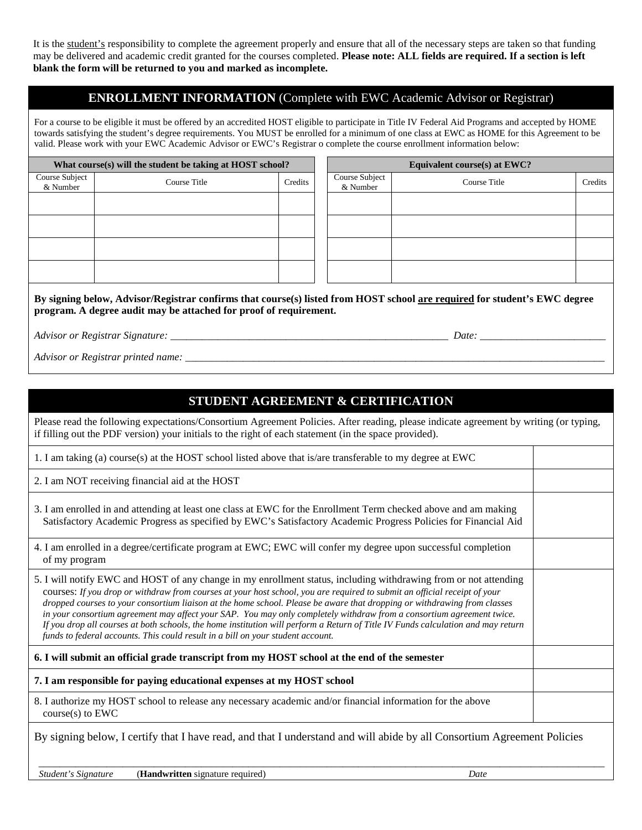It is the student's responsibility to complete the agreement properly and ensure that all of the necessary steps are taken so that funding may be delivered and academic credit granted for the courses completed. **Please note: ALL fields are required. If a section is left blank the form will be returned to you and marked as incomplete.** 

### **ENROLLMENT INFORMATION** (Complete with EWC Academic Advisor or Registrar)

For a course to be eligible it must be offered by an accredited HOST eligible to participate in Title IV Federal Aid Programs and accepted by HOME towards satisfying the student's degree requirements. You MUST be enrolled for a minimum of one class at EWC as HOME for this Agreement to be valid. Please work with your EWC Academic Advisor or EWC's Registrar o complete the course enrollment information below:

| What course(s) will the student be taking at HOST school? |              |         |  | Equivalent course(s) at EWC? |              |         |  |
|-----------------------------------------------------------|--------------|---------|--|------------------------------|--------------|---------|--|
| Course Subject<br>& Number                                | Course Title | Credits |  | Course Subject<br>& Number   | Course Title | Credits |  |
|                                                           |              |         |  |                              |              |         |  |
|                                                           |              |         |  |                              |              |         |  |
|                                                           |              |         |  |                              |              |         |  |
|                                                           |              |         |  |                              |              |         |  |
|                                                           |              |         |  |                              |              |         |  |

**By signing below, Advisor/Registrar confirms that course(s) listed from HOST school are required for student's EWC degree program. A degree audit may be attached for proof of requirement.**

*Advisor or Registrar Signature: \_\_\_\_\_\_\_\_\_\_\_\_\_\_\_\_\_\_\_\_\_\_\_\_\_\_\_\_\_\_\_\_\_\_\_\_\_\_\_\_\_\_\_\_\_\_\_\_\_\_\_\_\_ Date: \_\_\_\_\_\_\_\_\_\_\_\_\_\_\_\_\_\_\_\_\_\_\_\_*

*Advisor or Registrar printed name:* \_\_\_\_\_\_\_\_\_\_\_\_\_\_\_\_\_\_\_\_\_\_\_\_\_\_\_\_\_\_\_\_\_\_\_\_\_\_\_\_\_\_\_\_\_\_\_\_\_\_\_\_\_\_\_\_\_\_\_\_\_\_\_\_\_\_\_\_\_\_\_\_\_\_\_\_\_\_\_\_

## **STUDENT AGREEMENT & CERTIFICATION**

Please read the following expectations/Consortium Agreement Policies. After reading, please indicate agreement by writing (or typing, if filling out the PDF version) your initials to the right of each statement (in the space provided).

1. I am taking (a) course(s) at the HOST school listed above that is/are transferable to my degree at EWC

2. I am NOT receiving financial aid at the HOST

3. I am enrolled in and attending at least one class at EWC for the Enrollment Term checked above and am making Satisfactory Academic Progress as specified by EWC's Satisfactory Academic Progress Policies for Financial Aid

4. I am enrolled in a degree/certificate program at EWC; EWC will confer my degree upon successful completion of my program

5. I will notify EWC and HOST of any change in my enrollment status, including withdrawing from or not attending courses: *If you drop or withdraw from courses at your host school, you are required to submit an official receipt of your dropped courses to your consortium liaison at the home school. Please be aware that dropping or withdrawing from classes in your consortium agreement may affect your SAP. You may only completely withdraw from a consortium agreement twice. If you drop all courses at both schools, the home institution will perform a Return of Title IV Funds calculation and may return funds to federal accounts. This could result in a bill on your student account.*

#### **6. I will submit an official grade transcript from my HOST school at the end of the semester**

**7. I am responsible for paying educational expenses at my HOST school**

8. I authorize my HOST school to release any necessary academic and/or financial information for the above course(s) to EWC

By signing below, I certify that I have read, and that I understand and will abide by all Consortium Agreement Policies

 *Student's Signature* (**Handwritten** signature required) *Date*